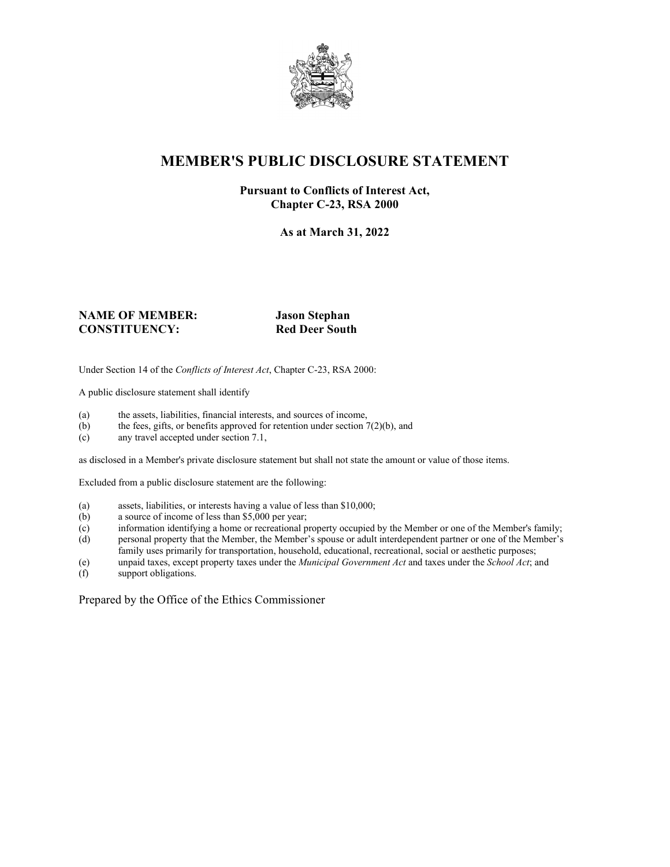

## **MEMBER'S PUBLIC DISCLOSURE STATEMENT**

#### **Pursuant to Conflicts of Interest Act, Chapter C-23, RSA 2000**

**As at March 31, 2022**

#### **NAME OF MEMBER: Jason Stephan CONSTITUENCY: Red Deer South**

Under Section 14 of the *Conflicts of Interest Act*, Chapter C-23, RSA 2000:

A public disclosure statement shall identify

- (a) the assets, liabilities, financial interests, and sources of income,  $(b)$  the fees, gifts, or benefits approved for retention under section 7
- the fees, gifts, or benefits approved for retention under section  $7(2)(b)$ , and
- (c) any travel accepted under section 7.1,

as disclosed in a Member's private disclosure statement but shall not state the amount or value of those items.

Excluded from a public disclosure statement are the following:

- (a) assets, liabilities, or interests having a value of less than \$10,000;<br>(b) a source of income of less than \$5,000 per year;
- a source of income of less than  $$5,000$  per year;
- (c) information identifying a home or recreational property occupied by the Member or one of the Member's family;
- (d) personal property that the Member, the Member's spouse or adult interdependent partner or one of the Member's family uses primarily for transportation, household, educational, recreational, social or aesthetic purposes;
- (e) unpaid taxes, except property taxes under the *Municipal Government Act* and taxes under the *School Act*; and
- (f) support obligations.

Prepared by the Office of the Ethics Commissioner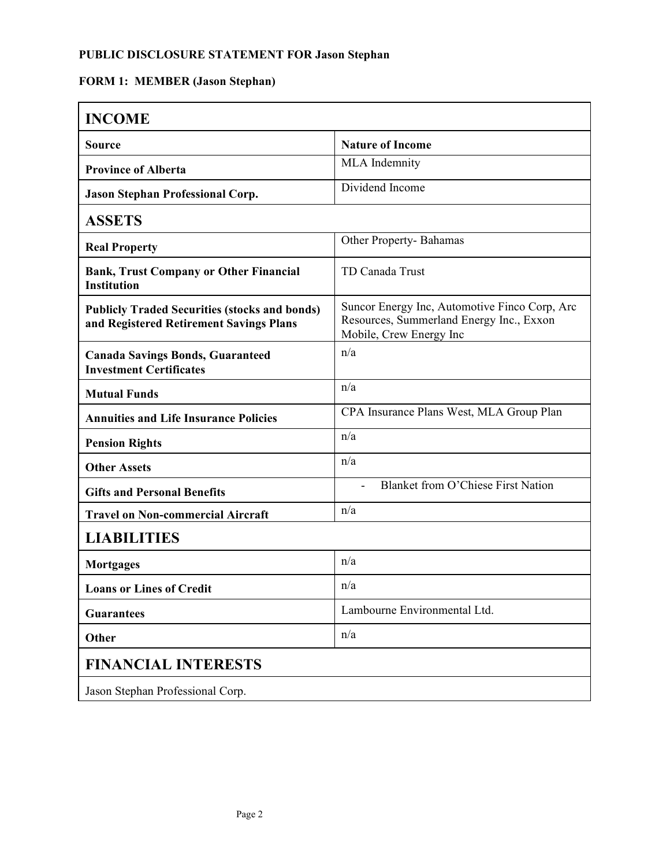## **FORM 1: MEMBER (Jason Stephan)**

| <b>INCOME</b>                                                                                   |                                                                                                                      |  |
|-------------------------------------------------------------------------------------------------|----------------------------------------------------------------------------------------------------------------------|--|
| <b>Source</b>                                                                                   | <b>Nature of Income</b>                                                                                              |  |
| <b>Province of Alberta</b>                                                                      | MLA Indemnity                                                                                                        |  |
| <b>Jason Stephan Professional Corp.</b>                                                         | Dividend Income                                                                                                      |  |
| <b>ASSETS</b>                                                                                   |                                                                                                                      |  |
| <b>Real Property</b>                                                                            | Other Property-Bahamas                                                                                               |  |
| <b>Bank, Trust Company or Other Financial</b><br><b>Institution</b>                             | TD Canada Trust                                                                                                      |  |
| <b>Publicly Traded Securities (stocks and bonds)</b><br>and Registered Retirement Savings Plans | Suncor Energy Inc, Automotive Finco Corp, Arc<br>Resources, Summerland Energy Inc., Exxon<br>Mobile, Crew Energy Inc |  |
| <b>Canada Savings Bonds, Guaranteed</b><br><b>Investment Certificates</b>                       | n/a                                                                                                                  |  |
| <b>Mutual Funds</b>                                                                             | n/a                                                                                                                  |  |
| <b>Annuities and Life Insurance Policies</b>                                                    | CPA Insurance Plans West, MLA Group Plan                                                                             |  |
| <b>Pension Rights</b>                                                                           | n/a                                                                                                                  |  |
| <b>Other Assets</b>                                                                             | n/a                                                                                                                  |  |
| <b>Gifts and Personal Benefits</b>                                                              | <b>Blanket from O'Chiese First Nation</b>                                                                            |  |
| <b>Travel on Non-commercial Aircraft</b>                                                        | n/a                                                                                                                  |  |
| <b>LIABILITIES</b>                                                                              |                                                                                                                      |  |
| <b>Mortgages</b>                                                                                | n/a                                                                                                                  |  |
| <b>Loans or Lines of Credit</b>                                                                 | n/a                                                                                                                  |  |
| <b>Guarantees</b>                                                                               | Lambourne Environmental Ltd.                                                                                         |  |
| Other                                                                                           | n/a                                                                                                                  |  |
| <b>FINANCIAL INTERESTS</b>                                                                      |                                                                                                                      |  |
| Jason Stephan Professional Corp.                                                                |                                                                                                                      |  |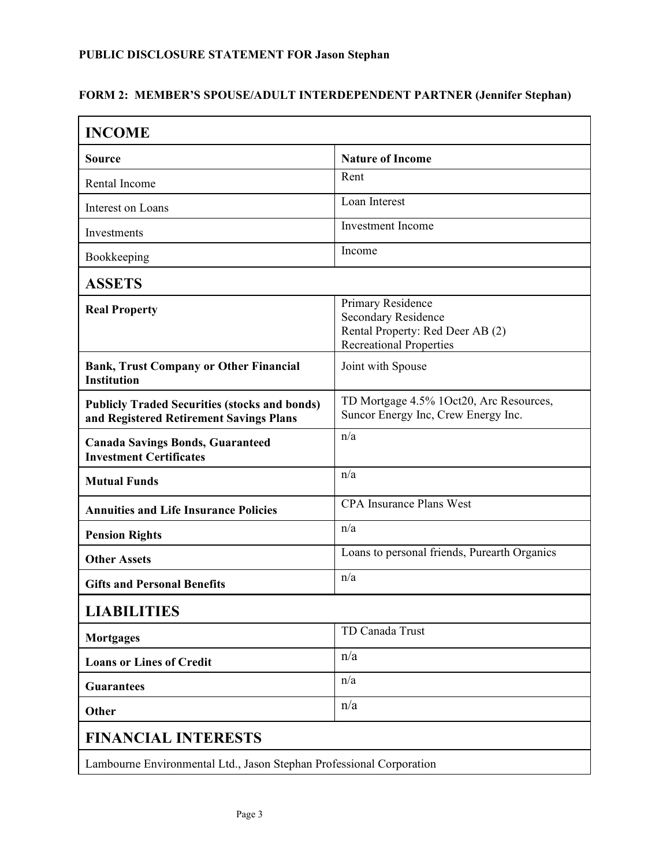#### **FORM 2: MEMBER'S SPOUSE/ADULT INTERDEPENDENT PARTNER (Jennifer Stephan)**

| <b>INCOME</b>                                                                                   |                                                                                                                       |  |
|-------------------------------------------------------------------------------------------------|-----------------------------------------------------------------------------------------------------------------------|--|
| <b>Source</b>                                                                                   | <b>Nature of Income</b>                                                                                               |  |
| Rental Income                                                                                   | Rent                                                                                                                  |  |
| Interest on Loans                                                                               | Loan Interest                                                                                                         |  |
| Investments                                                                                     | <b>Investment</b> Income                                                                                              |  |
| Bookkeeping                                                                                     | Income                                                                                                                |  |
| <b>ASSETS</b>                                                                                   |                                                                                                                       |  |
| <b>Real Property</b>                                                                            | Primary Residence<br><b>Secondary Residence</b><br>Rental Property: Red Deer AB (2)<br><b>Recreational Properties</b> |  |
| <b>Bank, Trust Company or Other Financial</b><br><b>Institution</b>                             | Joint with Spouse                                                                                                     |  |
| <b>Publicly Traded Securities (stocks and bonds)</b><br>and Registered Retirement Savings Plans | TD Mortgage 4.5% 1Oct20, Arc Resources,<br>Suncor Energy Inc, Crew Energy Inc.                                        |  |
| <b>Canada Savings Bonds, Guaranteed</b><br><b>Investment Certificates</b>                       | n/a                                                                                                                   |  |
| <b>Mutual Funds</b>                                                                             | n/a                                                                                                                   |  |
| <b>Annuities and Life Insurance Policies</b>                                                    | <b>CPA Insurance Plans West</b>                                                                                       |  |
| <b>Pension Rights</b>                                                                           | n/a                                                                                                                   |  |
| <b>Other Assets</b>                                                                             | Loans to personal friends, Purearth Organics                                                                          |  |
| <b>Gifts and Personal Benefits</b>                                                              | n/a                                                                                                                   |  |
| <b>LIABILITIES</b>                                                                              |                                                                                                                       |  |
| <b>Mortgages</b>                                                                                | TD Canada Trust                                                                                                       |  |
| <b>Loans or Lines of Credit</b>                                                                 | n/a                                                                                                                   |  |
| <b>Guarantees</b>                                                                               | n/a                                                                                                                   |  |
| Other                                                                                           | n/a                                                                                                                   |  |
| <b>FINANCIAL INTERESTS</b>                                                                      |                                                                                                                       |  |
| Lambourne Environmental Ltd., Jason Stephan Professional Corporation                            |                                                                                                                       |  |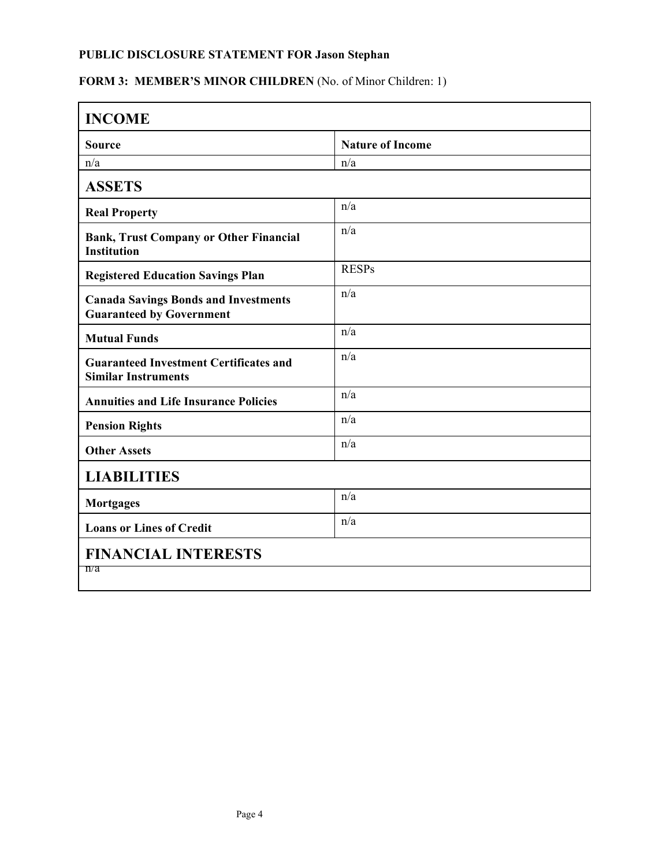# FORM 3: MEMBER'S MINOR CHILDREN (No. of Minor Children: 1)

| <b>INCOME</b>                                                                  |                         |  |
|--------------------------------------------------------------------------------|-------------------------|--|
| <b>Source</b>                                                                  | <b>Nature of Income</b> |  |
| n/a                                                                            | n/a                     |  |
| <b>ASSETS</b>                                                                  |                         |  |
| <b>Real Property</b>                                                           | n/a                     |  |
| <b>Bank, Trust Company or Other Financial</b><br><b>Institution</b>            | n/a                     |  |
| <b>Registered Education Savings Plan</b>                                       | <b>RESPs</b>            |  |
| <b>Canada Savings Bonds and Investments</b><br><b>Guaranteed by Government</b> | n/a                     |  |
| <b>Mutual Funds</b>                                                            | n/a                     |  |
| <b>Guaranteed Investment Certificates and</b><br><b>Similar Instruments</b>    | n/a                     |  |
| <b>Annuities and Life Insurance Policies</b>                                   | n/a                     |  |
| <b>Pension Rights</b>                                                          | n/a                     |  |
| <b>Other Assets</b>                                                            | n/a                     |  |
| <b>LIABILITIES</b>                                                             |                         |  |
| <b>Mortgages</b>                                                               | n/a                     |  |
| <b>Loans or Lines of Credit</b>                                                | n/a                     |  |
| <b>FINANCIAL INTERESTS</b><br>n/a                                              |                         |  |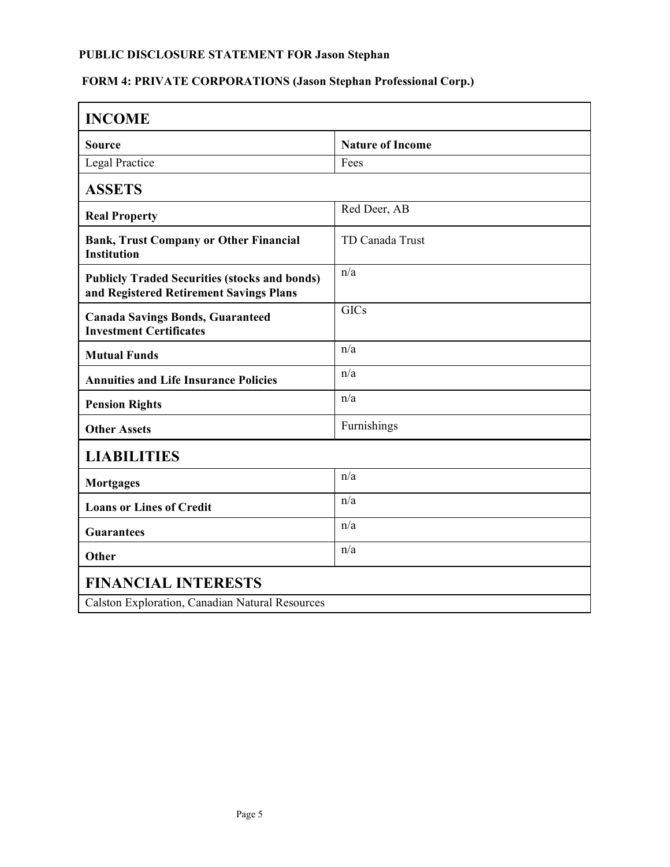# **FORM 4: PRIVATE CORPORATIONS (Jason Stephan Professional Corp.)**

| <b>INCOME</b>                                                                                   |                         |  |
|-------------------------------------------------------------------------------------------------|-------------------------|--|
| <b>Source</b>                                                                                   | <b>Nature of Income</b> |  |
| <b>Legal Practice</b>                                                                           | Fees                    |  |
| <b>ASSETS</b>                                                                                   |                         |  |
| <b>Real Property</b>                                                                            | Red Deer, AB            |  |
| <b>Bank, Trust Company or Other Financial</b><br><b>Institution</b>                             | TD Canada Trust         |  |
| <b>Publicly Traded Securities (stocks and bonds)</b><br>and Registered Retirement Savings Plans | n/a                     |  |
| <b>Canada Savings Bonds, Guaranteed</b><br><b>Investment Certificates</b>                       | <b>GICs</b>             |  |
| <b>Mutual Funds</b>                                                                             | n/a                     |  |
| <b>Annuities and Life Insurance Policies</b>                                                    | n/a                     |  |
| <b>Pension Rights</b>                                                                           | n/a                     |  |
| <b>Other Assets</b>                                                                             | Furnishings             |  |
| <b>LIABILITIES</b>                                                                              |                         |  |
| <b>Mortgages</b>                                                                                | n/a                     |  |
| <b>Loans or Lines of Credit</b>                                                                 | n/a                     |  |
| <b>Guarantees</b>                                                                               | n/a                     |  |
| Other                                                                                           | n/a                     |  |
| <b>FINANCIAL INTERESTS</b>                                                                      |                         |  |
| Calston Exploration, Canadian Natural Resources                                                 |                         |  |